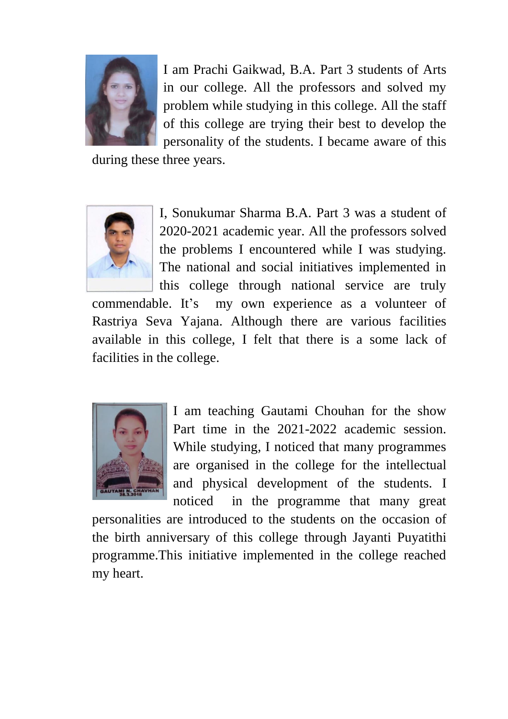

I am Prachi Gaikwad, B.A. Part 3 students of Arts in our college. All the professors and solved my problem while studying in this college. All the staff of this college are trying their best to develop the personality of the students. I became aware of this

during these three years.



I, Sonukumar Sharma B.A. Part 3 was a student of 2020-2021 academic year. All the professors solved the problems I encountered while I was studying. The national and social initiatives implemented in this college through national service are truly

commendable. It's my own experience as a volunteer of Rastriya Seva Yajana. Although there are various facilities available in this college, I felt that there is a some lack of facilities in the college.



I am teaching Gautami Chouhan for the show Part time in the 2021-2022 academic session. While studying, I noticed that many programmes are organised in the college for the intellectual and physical development of the students. I noticed in the programme that many great

personalities are introduced to the students on the occasion of the birth anniversary of this college through Jayanti Puyatithi programme.This initiative implemented in the college reached my heart.